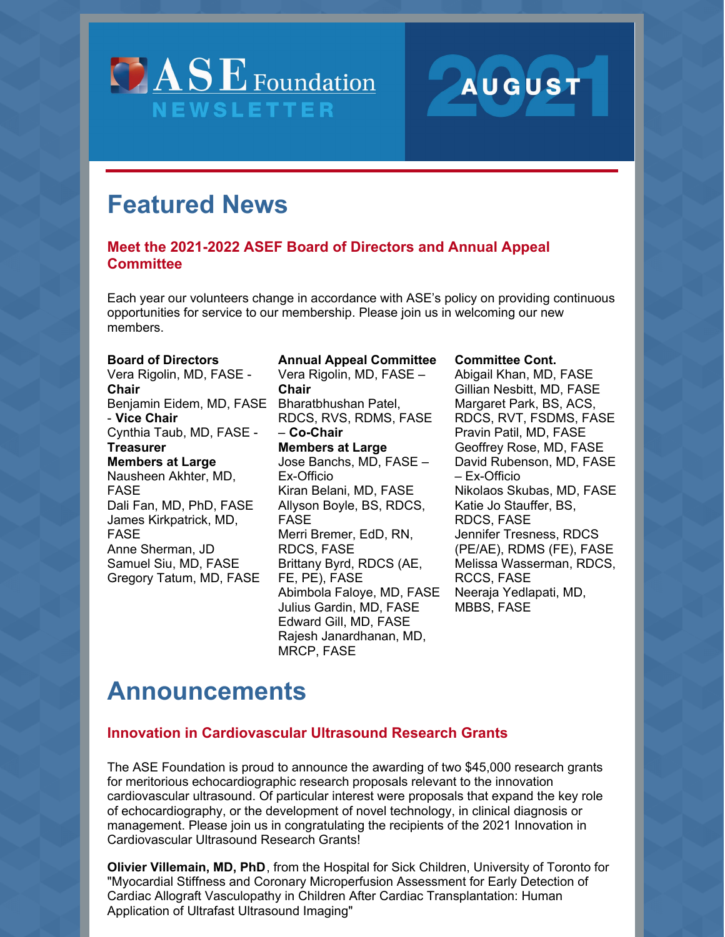



# **Featured News**

# **Meet the 2021-2022 ASEF Board of Directors and Annual Appeal Committee**

Each year our volunteers change in accordance with ASE's policy on providing continuous opportunities for service to our membership. Please join us in welcoming our new members.

#### **Board of Directors**

Vera Rigolin, MD, FASE - **Chair** Benjamin Eidem, MD, FASE Bharatbhushan Patel, - **Vice Chair** Cynthia Taub, MD, FASE - **Treasurer Members at Large** Nausheen Akhter, MD, FASE Dali Fan, MD, PhD, FASE James Kirkpatrick, MD, FASE Anne Sherman, JD Samuel Siu, MD, FASE Gregory Tatum, MD, FASE

#### **Annual Appeal Committee** Vera Rigolin, MD, FASE –

**Chair** RDCS, RVS, RDMS, FASE – **Co-Chair Members at Large** Jose Banchs, MD, FASE – Ex-Officio Kiran Belani, MD, FASE Allyson Boyle, BS, RDCS, FASE Merri Bremer, EdD, RN, RDCS, FASE Brittany Byrd, RDCS (AE, FE, PE), FASE Abimbola Faloye, MD, FASE Julius Gardin, MD, FASE Edward Gill, MD, FASE Rajesh Janardhanan, MD, MRCP, FASE

### **Committee Cont.**

Abigail Khan, MD, FASE Gillian Nesbitt, MD, FASE Margaret Park, BS, ACS, RDCS, RVT, FSDMS, FASE Pravin Patil, MD, FASE Geoffrey Rose, MD, FASE David Rubenson, MD, FASE – Ex-Officio Nikolaos Skubas, MD, FASE Katie Jo Stauffer, BS, RDCS, FASE Jennifer Tresness, RDCS (PE/AE), RDMS (FE), FASE Melissa Wasserman, RDCS, RCCS, FASE Neeraja Yedlapati, MD, MBBS, FASE

# **Announcements**

## **Innovation in Cardiovascular Ultrasound Research Grants**

The ASE Foundation is proud to announce the awarding of two \$45,000 research grants for meritorious echocardiographic research proposals relevant to the innovation cardiovascular ultrasound. Of particular interest were proposals that expand the key role of echocardiography, or the development of novel technology, in clinical diagnosis or management. Please join us in congratulating the recipients of the 2021 Innovation in Cardiovascular Ultrasound Research Grants!

**Olivier Villemain, MD, PhD**, from the Hospital for Sick Children, University of Toronto for "Myocardial Stiffness and Coronary Microperfusion Assessment for Early Detection of Cardiac Allograft Vasculopathy in Children After Cardiac Transplantation: Human Application of Ultrafast Ultrasound Imaging"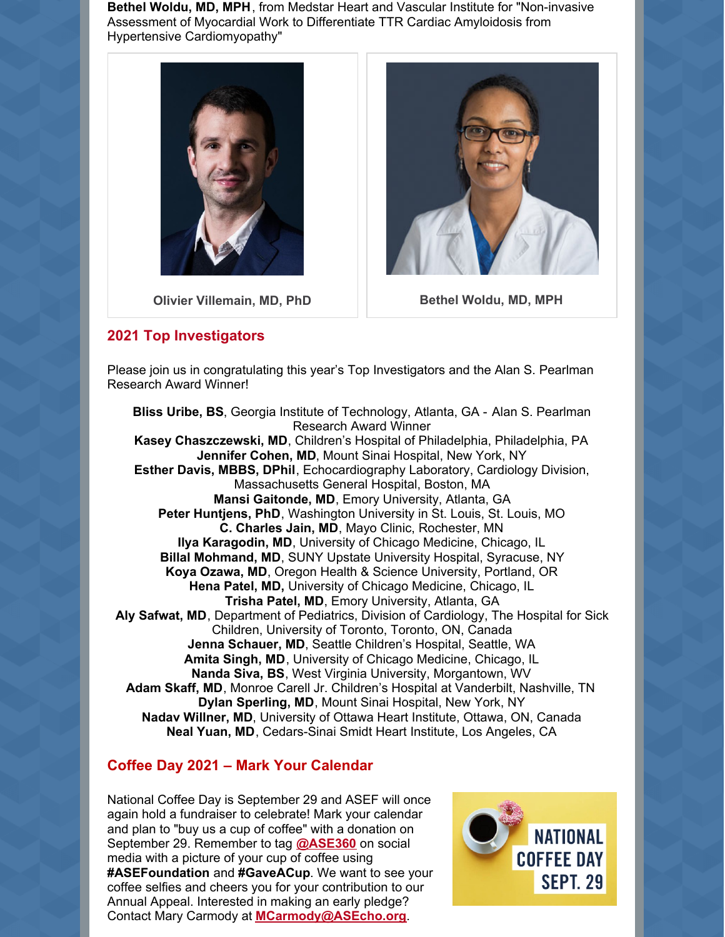**Bethel Woldu, MD, MPH**, from Medstar Heart and Vascular Institute for "Non-invasive Assessment of Myocardial Work to Differentiate TTR Cardiac Amyloidosis from Hypertensive Cardiomyopathy"



**Olivier Villemain, MD, PhD Bethel Woldu, MD, MPH**

### **2021 Top Investigators**



Please join us in congratulating this year's Top Investigators and the Alan S. Pearlman Research Award Winner!

**Bliss Uribe, BS**, Georgia Institute of Technology, Atlanta, GA - Alan S. Pearlman Research Award Winner **Kasey Chaszczewski, MD**, Children's Hospital of Philadelphia, Philadelphia, PA **Jennifer Cohen, MD**, Mount Sinai Hospital, New York, NY **Esther Davis, MBBS, DPhil**, Echocardiography Laboratory, Cardiology Division, Massachusetts General Hospital, Boston, MA **Mansi Gaitonde, MD**, Emory University, Atlanta, GA **Peter Huntjens, PhD**, Washington University in St. Louis, St. Louis, MO **C. Charles Jain, MD**, Mayo Clinic, Rochester, MN **Ilya Karagodin, MD**, University of Chicago Medicine, Chicago, IL **Billal Mohmand, MD**, SUNY Upstate University Hospital, Syracuse, NY **Koya Ozawa, MD**, Oregon Health & Science University, Portland, OR **Hena Patel, MD,** University of Chicago Medicine, Chicago, IL **Trisha Patel, MD**, Emory University, Atlanta, GA **Aly Safwat, MD**, Department of Pediatrics, Division of Cardiology, The Hospital for Sick Children, University of Toronto, Toronto, ON, Canada **Jenna Schauer, MD**, Seattle Children's Hospital, Seattle, WA **Amita Singh, MD**, University of Chicago Medicine, Chicago, IL **Nanda Siva, BS**, West Virginia University, Morgantown, WV **Adam Skaff, MD**, Monroe Carell Jr. Children's Hospital at Vanderbilt, Nashville, TN **Dylan Sperling, MD**, Mount Sinai Hospital, New York, NY **Nadav Willner, MD**, University of Ottawa Heart Institute, Ottawa, ON, Canada **Neal Yuan, MD**, Cedars-Sinai Smidt Heart Institute, Los Angeles, CA

## **Coffee Day 2021 – Mark Your Calendar**

National Coffee Day is September 29 and ASEF will once again hold a fundraiser to celebrate! Mark your calendar and plan to "buy us a cup of coffee" with a donation on September 29. Remember to tag **[@ASE360](http://www.twitter.com/ase360)** on social media with a picture of your cup of coffee using **#ASEFoundation** and **#GaveACup**. We want to see your coffee selfies and cheers you for your contribution to our Annual Appeal. Interested in making an early pledge? Contact Mary Carmody at **[MCarmody@ASEcho.org](mailto:MCarmody@ASEcho.org)**.